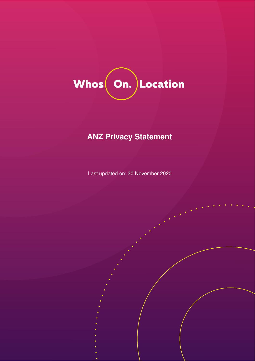

# **ANZ Privacy Statement**

Last updated on: 30 November 2020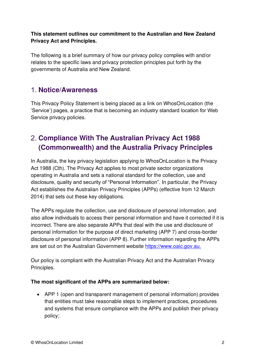### **This statement outlines our commitment to the Australian and New Zealand Privacy Act and Principles.**

The following is a brief summary of how our privacy policy complies with and/or relates to the specific laws and privacy protection principles put forth by the governments of Australia and New Zealand.

### **Notice/Awareness**

This Privacy Policy Statement is being placed as a link on WhosOnLocation (the 'Service') pages, a practice that is becoming an industry standard location for Web Service privacy policies.

## **Compliance With The Australian Privacy Act 1988 (Commonwealth) and the Australia Privacy Principles**

In Australia, the key privacy legislation applying to WhosOnLocation is the Privacy Act 1988 (Cth). The Privacy Act applies to most private sector organizations operating in Australia and sets a national standard for the collection, use and disclosure, quality and security of "Personal Information". In particular, the Privacy Act establishes the Australian Privacy Principles (APPs) (effective from 12 March 2014) that sets out these key obligations.

The APPs regulate the collection, use and disclosure of personal information, and also allow individuals to access their personal information and have it corrected if it is incorrect. There are also separate APPs that deal with the use and disclosure of personal information for the purpose of direct marketing (APP 7) and cross-border disclosure of personal information (APP 8). Further information regarding the APPs are set out on the Australian Government website [https://www.oaic.gov.au.](https://www.oaic.gov.au/) 

Our policy is compliant with the Australian Privacy Act and the Australian Privacy Principles.

#### **The most significant of the APPs are summarized below:**

• APP 1 (open and transparent management of personal information) provides that entities must take reasonable steps to implement practices, procedures and systems that ensure compliance with the APPs and publish their privacy policy;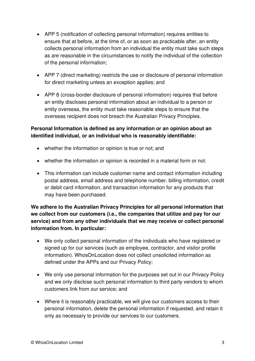- APP 5 (notification of collecting personal information) requires entities to ensure that at before, at the time of, or as soon as practicable after, an entity collects personal information from an individual the entity must take such steps as are reasonable in the circumstances to notify the individual of the collection of the personal information;
- APP 7 (direct marketing) restricts the use or disclosure of personal information for direct marketing unless an exception applies; and
- APP 8 (cross-border disclosure of personal information) requires that before an entity discloses personal information about an individual to a person or entity overseas, the entity must take reasonable steps to ensure that the overseas recipient does not breach the Australian Privacy Principles.

### **Personal Information is defined as any information or an opinion about an identified individual, or an individual who is reasonably identifiable:**

- whether the information or opinion is true or not; and
- whether the information or opinion is recorded in a material form or not.
- This information can include customer name and contact information including postal address, email address and telephone number, billing information, credit or debit card information, and transaction information for any products that may have been purchased.

**We adhere to the Australian Privacy Principles for all personal information that we collect from our customers (i.e., the companies that utilize and pay for our service) and from any other individuals that we may receive or collect personal information from. In particular:** 

- We only collect personal information of the individuals who have registered or signed up for our services (such as employee, contractor, and visitor profile information). WhosOnLocation does not collect unsolicited information as defined under the APPs and our Privacy Policy;
- We only use personal information for the purposes set out in our Privacy Policy and we only disclose such personal information to third party vendors to whom customers link from our service; and
- Where it is reasonably practicable, we will give our customers access to their personal information, delete the personal information if requested, and retain it only as necessary to provide our services to our customers.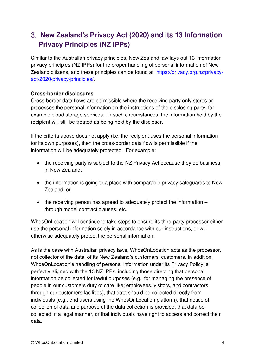# **New Zealand's Privacy Act (2020) and its 13 Information Privacy Principles (NZ IPPs)**

Similar to the Australian privacy principles, New Zealand law lays out 13 information privacy principles (NZ IPPs) for the proper handling of personal information of New Zealand citizens, and these principles can be found at [https://privacy.org.nz/privacy](https://privacy.org.nz/privacy-act-2020/privacy-principles/)[act-2020/privacy-principles/.](https://privacy.org.nz/privacy-act-2020/privacy-principles/)

#### **Cross-border disclosures**

Cross-border data flows are permissible where the receiving party only stores or processes the personal information on the instructions of the disclosing party, for example cloud storage services. In such circumstances, the information held by the recipient will still be treated as being held by the discloser.

If the criteria above does not apply (i.e. the recipient uses the personal information for its own purposes), then the cross-border data flow is permissible if the information will be adequately protected. For example:

- the receiving party is subject to the NZ Privacy Act because they do business in New Zealand;
- the information is going to a place with comparable privacy safeguards to New Zealand; or
- the receiving person has agreed to adequately protect the information through model contract clauses, etc.

WhosOnLocation will continue to take steps to ensure its third-party processor either use the personal information solely in accordance with our instructions, or will otherwise adequately protect the personal information.

As is the case with Australian privacy laws, WhosOnLocation acts as the processor, not collector of the data, of its New Zealand's customers' customers. In addition, WhosOnLocation's handling of personal information under its Privacy Policy is perfectly aligned with the 13 NZ IPPs, including those directing that personal information be collected for lawful purposes (e.g., for managing the presence of people in our customers duty of care like; employees, visitors, and contractors through our customers facilities), that data should be collected directly from individuals (e.g., end users using the WhosOnLocation platform), that notice of collection of data and purpose of the data collection is provided, that data be collected in a legal manner, or that individuals have right to access and correct their data.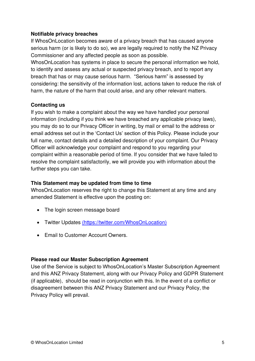#### **Notifiable privacy breaches**

If WhosOnLocation becomes aware of a privacy breach that has caused anyone serious harm (or is likely to do so), we are legally required to notify the NZ Privacy Commissioner and any affected people as soon as possible.

WhosOnLocation has systems in place to secure the personal information we hold, to identify and assess any actual or suspected privacy breach, and to report any breach that has or may cause serious harm. "Serious harm" is assessed by considering: the sensitivity of the information lost, actions taken to reduce the risk of harm, the nature of the harm that could arise, and any other relevant matters.

#### **Contacting us**

If you wish to make a complaint about the way we have handled your personal information (including if you think we have breached any applicable privacy laws), you may do so to our Privacy Officer in writing, by mail or email to the address or email address set out in the 'Contact Us' section of this Policy. Please include your full name, contact details and a detailed description of your complaint. Our Privacy Officer will acknowledge your complaint and respond to you regarding your complaint within a reasonable period of time. If you consider that we have failed to resolve the complaint satisfactorily, we will provide you with information about the further steps you can take.

#### **This Statement may be updated from time to time**

WhosOnLocation reserves the right to change this Statement at any time and any amended Statement is effective upon the posting on:

- The login screen message board
- Twitter Updates [\(https://twitter.com/WhosOnLocation\)](https://twitter.com/WhosOnLocation)
- Email to Customer Account Owners.

#### **Please read our Master Subscription Agreement**

Use of the Service is subject to WhosOnLocation's Master Subscription Agreement and this ANZ Privacy Statement, along with our Privacy Policy and GDPR Statement (if applicable), should be read in conjunction with this. In the event of a conflict or disagreement between this ANZ Privacy Statement and our Privacy Policy, the Privacy Policy will prevail.